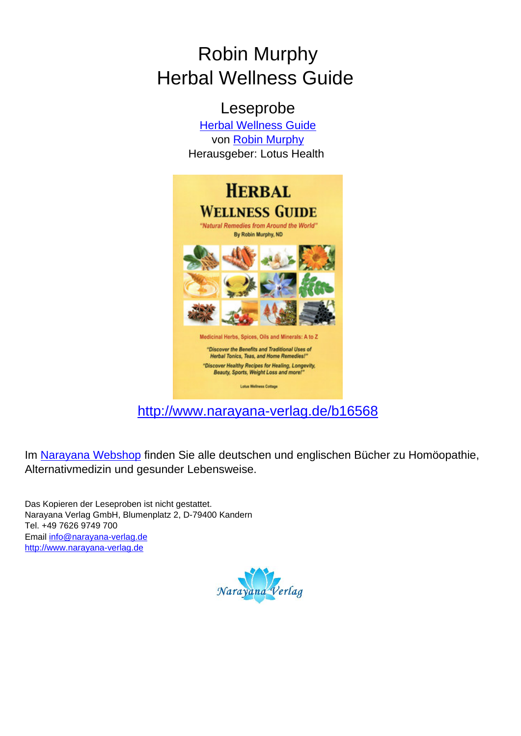# Robin Murphy Herbal Wellness Guide

Leseprobe [Herbal Wellness Guide](http://www.narayana-verlag.de/Herbal-Wellness-Guide-Robin-Murphy/b16568/partner/leseprobe) von [Robin Murphy](http://www.narayana-verlag.de/Robin-Murphy/a592/partner/leseprobe) Herausgeber: Lotus Health



[http://www.narayana-verlag.de/b16568](http://www.narayana-verlag.de/Herbal-Wellness-Guide-Robin-Murphy/b16568/partner/leseprobe)

Im [Narayana Webshop](http://www.narayana-verlag.de/partner/leseprobe) finden Sie alle deutschen und englischen Bücher zu Homöopathie, Alternativmedizin und gesunder Lebensweise.

Das Kopieren der Leseproben ist nicht gestattet. Narayana Verlag GmbH, Blumenplatz 2, D-79400 Kandern Tel. +49 7626 9749 700 Email [info@narayana-verlag.de](mailto:info@narayana-verlag.de) [http://www.narayana-verlag.de](http://www.narayana-verlag.de/partner/leseprobe)

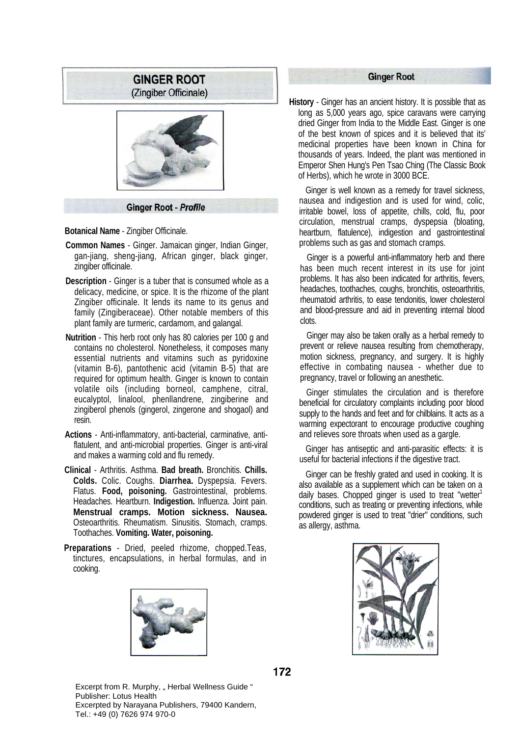

**Ginger Root - Profile** 

**Botanical Name** - Zingiber Officinale.

- **Common Names**  Ginger. Jamaican ginger, Indian Ginger, gan-jiang, sheng-jiang, African ginger, black ginger, zingiber officinale.
- **Description**  Ginger is a tuber that is consumed whole as a delicacy, medicine, or spice. It is the rhizome of the plant Zingiber officinale. It lends its name to its genus and family (Zingiberaceae). Other notable members of this plant family are turmeric, cardamom, and galangal.
- **Nutrition**  This herb root only has 80 calories per 100 g and contains no cholesterol. Nonetheless, it composes many essential nutrients and vitamins such as pyridoxine (vitamin B-6), pantothenic acid (vitamin B-5) that are required for optimum health. Ginger is known to contain volatile oils (including borneol, camphene, citral, eucalyptol, linalool, phenllandrene, zingiberine and zingiberol phenols (gingerol, zingerone and shogaol) and resin.
- **Actions**  Anti-inflammatory, anti-bacterial, carminative, antiflatulent, and anti-microbial properties. Ginger is anti-viral and makes a warming cold and flu remedy.
- **Clinical**  Arthritis. Asthma. **Bad breath.** Bronchitis. **Chills. Colds.** Colic. Coughs. **Diarrhea.** Dyspepsia. Fevers. Flatus. **Food, poisoning.** Gastrointestinal, problems. Headaches. Heartburn. **Indigestion.** Influenza. Joint pain. **Menstrual cramps. Motion sickness. Nausea.**  Osteoarthritis. Rheumatism. Sinusitis. Stomach, cramps. Toothaches. **Vomiting. Water, poisoning.**
- **Preparations**  Dried, peeled rhizome, chopped.Teas, tinctures, encapsulations, in herbal formulas, and in cooking.



## **Ginger Root**

**History** - Ginger has an ancient history. It is possible that as long as 5,000 years ago, spice caravans were carrying dried Ginger from India to the Middle East. Ginger is one of the best known of spices and it is believed that its' medicinal properties have been known in China for thousands of years. Indeed, the plant was mentioned in Emperor Shen Hung's Pen Tsao Ching (The Classic Book of Herbs), which he wrote in 3000 BCE.

Ginger is well known as a remedy for travel sickness, nausea and indigestion and is used for wind, colic, irritable bowel, loss of appetite, chills, cold, flu, poor circulation, menstrual cramps, dyspepsia (bloating, heartburn, flatulence), indigestion and gastrointestinal problems such as gas and stomach cramps.

Ginger is a powerful anti-inflammatory herb and there has been much recent interest in its use for joint problems. It has also been indicated for arthritis, fevers, headaches, toothaches, coughs, bronchitis, osteoarthritis, rheumatoid arthritis, to ease tendonitis, lower cholesterol and blood-pressure and aid in preventing internal blood clots.

Ginger may also be taken orally as a herbal remedy to prevent or relieve nausea resulting from chemotherapy, motion sickness, pregnancy, and surgery. It is highly effective in combating nausea - whether due to pregnancy, travel or following an anesthetic.

Ginger stimulates the circulation and is therefore beneficial for circulatory complaints including poor blood supply to the hands and feet and for chilblains. It acts as a warming expectorant to encourage productive coughing and relieves sore throats when used as a gargle.

Ginger has antiseptic and anti-parasitic effects: it is useful for bacterial infections if the digestive tract.

Ginger can be freshly grated and used in cooking. It is also available as a supplement which can be taken on a daily bases. Chopped ginger is used to treat "wetter $1$ conditions, such as treating or preventing infections, while powdered ginger is used to treat "drier" conditions, such as allergy, asthma.



172

Excerpt from R. Murphy, "Herbal Wellness Guide" Publisher: Lotus Health Excerpted by Narayana Publishers, 79400 Kandern, Tel.: +49 (0) 7626 974 970-0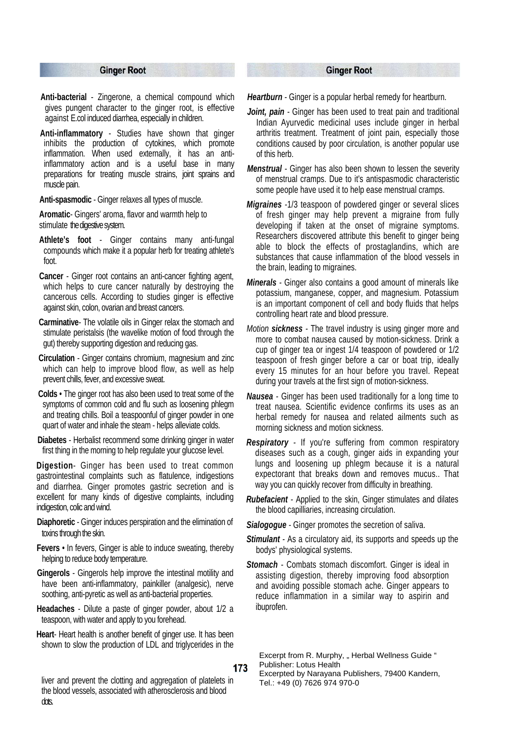#### **Ginger Root**

- **Anti-bacterial** Zingerone, a chemical compound which gives pungent character to the ginger root, is effective against E.col induced diarrhea, especially in children.
- **Anti-inflammatory** Studies have shown that ginger inhibits the production of cytokines, which promote inflammation. When used externally, it has an antiinflammatory action and is a useful base in many preparations for treating muscle strains, joint sprains and muscle pain.

**Anti-spasmodic** - Ginger relaxes all types of muscle.

- **Aromatic** Gingers' aroma, flavor and warmth help to stimulate the digestive system.
- **Athlete's foot**Ginger contains many anti-fungal compounds which make it a popular herb for treating athlete's foot.
- **Cancer** Ginger root contains an anti-cancer fighting agent, which helps to cure cancer naturally by destroying the cancerous cells. According to studies ginger is effective against skin, colon, ovarian and breast cancers.
- **Carminative**The volatile oils in Ginger relax the stomach and stimulate peristalsis (the wavelike motion of food through the gut) thereby supporting digestion and reducing gas.
- **Circulation** Ginger contains chromium, magnesium and zinc which can help to improve blood flow, as well as help prevent chills, fever, and excessive sweat.
- **Colds** The ginger root has also been used to treat some of the symptoms of common cold and flu such as loosening phlegm and treating chills. Boil a teaspoonful of ginger powder in one quart of water and inhale the steam - helps alleviate colds.
- **Diabetes** Herbalist recommend some drinking ginger in water first thing in the morning to help regulate your glucose level.

**Digestion**- Ginger has been used to treat common gastrointestinal complaints such as flatulence, indigestions and diarrhea. Ginger promotes gastric secretion and is excellent for many kinds of digestive complaints, including indigestion, colic and wind.

- **Diaphoretic** Ginger induces perspiration and the elimination of toxins through the skin.
- **Fevers** In fevers, Ginger is able to induce sweating, thereby helping to reduce body temperature.
- **Gingerols** Gingerols help improve the intestinal motility and have been anti-inflammatory, painkiller (analgesic), nerve soothing, anti-pyretic as well as anti-bacterial properties.
- **Headaches** Dilute a paste of ginger powder, about 1/2 a teaspoon, with water and apply to you forehead.
- **Heart** Heart health is another benefit of ginger use. It has been shown to slow the production of LDL and triglycerides in the

#### 173

liver and prevent the clotting and aggregation of platelets in the blood vessels, associated with atherosclerosis and blood dots.

### **Ginger Root**

*Heartburn - Ginger is a popular herbal remedy for heartburn.* 

- Joint, pain Ginger has been used to treat pain and traditional Indian Ayurvedic medicinal uses include ginger in herbal arthritis treatment. Treatment of joint pain, especially those conditions caused by poor circulation, is another popular use of this herb.
- *Menstrual Ginger has also been shown to lessen the severity* of menstrual cramps. Due to it's antispasmodic characteristic some people have used it to help ease menstrual cramps.
- *Migraines -*1/3 teaspoon of powdered ginger or several slices of fresh ginger may help prevent a migraine from fully developing if taken at the onset of migraine symptoms. Researchers discovered attribute this benefit to ginger being able to block the effects of prostaglandins, which are substances that cause inflammation of the blood vessels in the brain, leading to migraines.
- *Minerals* Ginger also contains a good amount of minerals like potassium, manganese, copper, and magnesium. Potassium is an important component of cell and body fluids that helps controlling heart rate and blood pressure.
- *Motion sickness* The travel industry is using ginger more and more to combat nausea caused by motion-sickness. Drink a cup of ginger tea or ingest 1/4 teaspoon of powdered or 1/2 teaspoon of fresh ginger before a car or boat trip, ideally every 15 minutes for an hour before you travel. Repeat during your travels at the first sign of motion-sickness.
- *Nausea* Ginger has been used traditionally for a long time to treat nausea. Scientific evidence confirms its uses as an herbal remedy for nausea and related ailments such as morning sickness and motion sickness.
- *Respiratory* If you're suffering from common respiratory diseases such as a cough, ginger aids in expanding your lungs and loosening up phlegm because it is a natural expectorant that breaks down and removes mucus.. That way you can quickly recover from difficulty in breathing.
- *Rubefacient* Applied to the skin, Ginger stimulates and dilates the blood capilliaries, increasing circulation.
- *Sialogogue* Ginger promotes the secretion of saliva.
- **Stimulant** As a circulatory aid, its supports and speeds up the bodys' physiological systems.
- *Stomach* Combats stomach discomfort. Ginger is ideal in assisting digestion, thereby improving food absorption and avoiding possible stomach ache. Ginger appears to reduce inflammation in a similar way to aspirin and ibuprofen.

Excerpt from R. Murphy, " Herbal Wellness Guide " Publisher: Lotus Health

Excerpted by Narayana Publishers, 79400 Kandern, Tel.: +49 (0) 7626 974 970-0